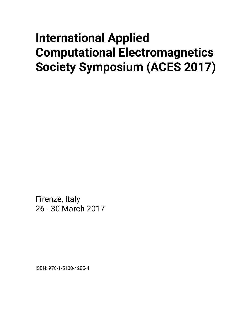# **International Applied Computational Electromagnetics Society Symposium (ACES 2017)**

Firenze, Italy 26 - 30 March 2017

ISBN: 978-1-5108-4285-4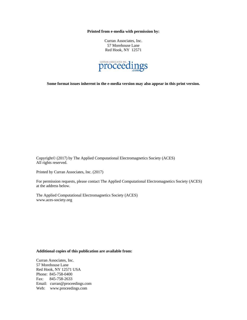**Printed from e-media with permission by:** 

Curran Associates, Inc. 57 Morehouse Lane Red Hook, NY 12571



**Some format issues inherent in the e-media version may also appear in this print version.** 

Copyright© (2017) by The Applied Computational Electromagnetics Society (ACES) All rights reserved.

Printed by Curran Associates, Inc. (2017)

For permission requests, please contact The Applied Computational Electromagnetics Society (ACES) at the address below.

The Applied Computational Electromagnetics Society (ACES) www.aces-society.org

#### **Additional copies of this publication are available from:**

Curran Associates, Inc. 57 Morehouse Lane Red Hook, NY 12571 USA Phone: 845-758-0400 Fax: 845-758-2633 Email: curran@proceedings.com Web: www.proceedings.com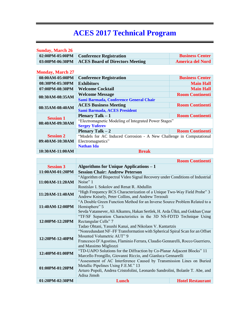| <b>Sunday, March 26</b>             |                                                                     |                         |
|-------------------------------------|---------------------------------------------------------------------|-------------------------|
| 02:00PM-05:00PM                     | <b>Conference Registration</b>                                      | <b>Business Center</b>  |
| 03:00PM-06:30PM                     | <b>ACES Board of Directors Meeting</b>                              | <b>America del Nord</b> |
| <b>Monday, March 27</b>             |                                                                     |                         |
| 08:00AM-05:00PM                     | <b>Conference Registration</b>                                      | <b>Business Center</b>  |
| 08:30PM-05:30PM                     | <b>Exhibitors</b>                                                   | <b>Main Hall</b>        |
| 07:00PM-08:30PM                     | <b>Welcome Cocktail</b>                                             | <b>Main Hall</b>        |
|                                     | <b>Welcome Message</b>                                              | <b>Room Continenti</b>  |
| 08:30AM-08:35AM                     | Sami Barmada, Conference General Chair                              |                         |
| 08:35AM-08:40AM                     | <b>ACES Business Meeting</b>                                        | <b>Room Continenti</b>  |
|                                     | <b>Sami Barmada, ACES President</b>                                 |                         |
| <b>Session 1</b><br>08:40AM-09:30AM | <b>Plenary Talk – 1</b>                                             | <b>Room Continenti</b>  |
|                                     | "Electromagnetic Modeling of Integrated Power Stages"               |                         |
|                                     | <b>Sergey Yuferev</b>                                               |                         |
|                                     | <b>Plenary Talk</b> $-2$                                            | <b>Room Continenti</b>  |
| <b>Session 2</b>                    | "Models for AC Induced Corrosion - A New Challenge in Computational |                         |
| 09:40AM-10:30AM                     | Electromagnetics"                                                   |                         |
|                                     | <b>Nathan Ida</b>                                                   |                         |
| 10:30AM-11:00AM                     | <b>Break</b>                                                        |                         |

|                  |                                                                               | <b>Room Continenti</b>  |
|------------------|-------------------------------------------------------------------------------|-------------------------|
| <b>Session 3</b> | Algorithms for Unique Applications $-1$                                       |                         |
| 11:00AM-01:20PM  | <b>Session Chair: Andrew Peterson</b>                                         |                         |
| 11:00AM-11:20AM  | "Algorithm of Bispectral Video Signal Recovery under Conditions of Industrial |                         |
|                  | Noise" 1                                                                      |                         |
|                  | Rostislav I. Sokolov and Renat R. Abdullin                                    |                         |
| 11:20AM-11:40AM  | "High Frequency RCS Characterization of a Unique Two-Way Field Probe" 3       |                         |
|                  | Andrew Knisely, Peter Collins, and Andrew Terzouli                            |                         |
|                  | "A Double Green Function Method for an Inverse Source Problem Related to a    |                         |
| 11:40AM-12:00PM  | Hemisphere" 5                                                                 |                         |
|                  | Sevda Vatansever, Ali Alkumru, Hakan Sertlek, H. Arda Ülkü, and Gokhan Çınar  |                         |
|                  | "TF/SF Separation Characteristics in the 3D NS-FDTD Technique Using           |                         |
| 12:00PM-12:20PM  | Rectangular Cells" 7                                                          |                         |
|                  | Tadao Ohtani, Yasushi Kanai, and Nikolaos V. Kantartzis                       |                         |
|                  | "Nonredundant NF-FF Transformation with Spherical Spiral Scan for an Offset   |                         |
| 12:20PM-12:40PM  | Mounted Volumetric AUT" 9                                                     |                         |
|                  | Francesco D'Agostino, Flaminio Ferrara, Claudio Gennarelli, Rocco Guerriero,  |                         |
|                  | and Massimo Migliozzi                                                         |                         |
| 12:40PM-01:00PM  | "TD-UAPO Solutions for the Diffraction by Co-Planar Adjacent Blocks" 11       |                         |
|                  | Marcello Frongillo, Giovanni Riccio, and Gianluca Gennarelli                  |                         |
|                  | "Assessment of AC Interference Caused by Transmission Lines on Buried         |                         |
| 01:00PM-01:20PM  | Metallic Pipelines Using F.E.M." 13                                           |                         |
|                  | Arturo Popoli, Andrea Cristofolini, Leonardo Sandrolini, Bolanle T. Abe, and  |                         |
|                  | Adisa Jimoh                                                                   |                         |
| 01:20PM-02:30PM  | Lunch                                                                         | <b>Hotel Restaurant</b> |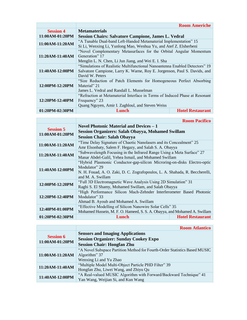|                  |                                                                             | <b>Room Americhe</b>    |  |
|------------------|-----------------------------------------------------------------------------|-------------------------|--|
| <b>Session 4</b> | <b>Metamaterials</b>                                                        |                         |  |
| 11:00AM-01:20PM  | <b>Session Chairs: Salvatore Campione, James L. Vedral</b>                  |                         |  |
| 11:00AM-11:20AM  | "A Tunable Dual-band Left-Handed Metamaterial Implementation" 15            |                         |  |
|                  | Si Li, Wenxing Li, Yunlong Mao, Wenhua Yu, and Atef Z. Elsherbeni           |                         |  |
|                  | "Novel Complementary Metasurfaces for the Orbital Angular Momentum          |                         |  |
| 11:20AM-11:40AM  | Generation" 17                                                              |                         |  |
|                  | Menglin L. N. Chen, Li Jun Jiang, and Wei E. I. Sha                         |                         |  |
|                  | "Simulations of Realistic Multifunctional Nanoantenna Enabled Detectors" 19 |                         |  |
| 11:40AM-12:00PM  | Salvatore Campione, Larry K. Warne, Roy E. Jorgenson, Paul S. Davids, and   |                         |  |
|                  | David W. Peters                                                             |                         |  |
|                  | "Size Reduction of Patch Elements for Homogeneous Perfect Absorbing         |                         |  |
| 12:00PM-12:20PM  | Material" 21                                                                |                         |  |
|                  | James L. Vedral and Randall L. Musselman                                    |                         |  |
|                  | "Refraction at Metamaterial Interface in Terms of Induced Phase at Resonant |                         |  |
| 12:20PM-12:40PM  | Frequency" 23                                                               |                         |  |
|                  | Quang Nguyen, Amir I. Zaghloul, and Steven Weiss                            |                         |  |
| 01:20PM-02:30PM  | Lunch                                                                       | <b>Hotel Restaurant</b> |  |

|                                     |                                                                              | <b>Room Pacifico</b>    |
|-------------------------------------|------------------------------------------------------------------------------|-------------------------|
| <b>Session 5</b><br>11:00AM-01:20PM | <b>Novel Photonic Material and Devices – 1</b>                               |                         |
|                                     | <b>Session Organizers: Salah Obayya, Mohamed Swillam</b>                     |                         |
|                                     | <b>Session Chair: Salah Obayya</b>                                           |                         |
|                                     | "Time Delay Signature of Chaotic Nanolasers and its Concealment" 25          |                         |
| 11:00AM-11:20AM                     | Amr Elsonbaty, Salem F. Hegazy, and Salah S. A. Obayya                       |                         |
|                                     | "Subwavelength Focusing in the Infrared Range Using a Meta Surface" 27       |                         |
| 11:20AM-11:40AM                     | Manar Abdel-Galil, Yehea Ismail, and Mohamed Swillam                         |                         |
|                                     | "Hybrid Plasmonic Conductor-gap-silicon Microring-on-disks Electro-optic     |                         |
|                                     | Modulator" 29                                                                |                         |
| 11:40AM-12:00PM                     | N. H. Fouad, A. O. Zaki, D. C. Zografopoulos, L. A. Shahada, R. Beccherelli, |                         |
|                                     | and M. A. Swillam                                                            |                         |
| 12:00PM-12:20PM                     | "Full 3D Electromagnetic Wave Analysis Using 2D Simulation" 31               |                         |
|                                     | Raghi S. El Shamy, Mohamed Swillam, and Salah Obayya                         |                         |
|                                     | "High Performance Silicon Mach-Zehnder Interferometer Based Photonic         |                         |
| 12:20PM-12:40PM                     | Modulator" 33                                                                |                         |
|                                     | Ahmad B. Ayoub and Mohamed A. Swillam                                        |                         |
| 12:40PM-01:00PM                     | "Effective Modelling of Silicon Nanowire Solar Cells" 35                     |                         |
|                                     | Mohamed Hussein, M. F. O. Hameed, S. S. A. Obayya, and Mohamed A. Swillam    |                         |
| 01:20PM-02:30PM                     | Lunch                                                                        | <b>Hotel Restaurant</b> |

|                                     | <b>Room Atlantico</b>                                                                                                        |
|-------------------------------------|------------------------------------------------------------------------------------------------------------------------------|
| <b>Session 6</b><br>11:00AM-01:20PM | <b>Sensors and Imaging Applications</b><br><b>Session Organizer: Sunday Cookey Expo</b><br><b>Session Chair: Hongfan Zhu</b> |
| 11:00AM-11:20AM                     | "A Novel Subspace Partition Method for Fourth-Order Statistics Based MUSIC<br>Algorithm" 37<br>Wenxing Li and Yu Zhao        |
| 11:20AM-11:40AM                     | "Multiple Model Multi-Object Particle PHD Filter" 39<br>Hongfan Zhu, Liwei Wang, and Zhiyu Qu                                |
| 11:40AM-12:00PM                     | "A Real-valued MUSIC Algorithm with Forward/Backward Technique" 41<br>Yan Wang, Weijian Si, and Kun Wang                     |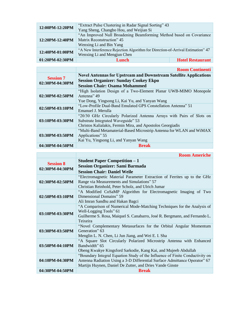| 12:00PM-12:20PM | "Extract Pulse Clustering in Radar Signal Sorting" 43<br>Yang Sheng, Changbo Hou, and Weijian Si                            |                         |
|-----------------|-----------------------------------------------------------------------------------------------------------------------------|-------------------------|
| 12:20PM-12:40PM | "An Improved Null Broadening Beamforming Method based on Covariance<br>Matrix Reconstruction" 45<br>Wenxing Li and Bin Yang |                         |
| 12:40PM-01:00PM | "A New Interference Rejection Algorithm for Direction-of-Arrival Estimation" 47<br>Wenxing Li and Mengjun Chen              |                         |
| 01:20PM-02:30PM | Lunch                                                                                                                       | <b>Hotel Restaurant</b> |

|                  | <b>Room Continenti</b>                                                   |
|------------------|--------------------------------------------------------------------------|
|                  | <b>Novel Antennas for Upstream and Downstream Satellite Applications</b> |
| <b>Session 7</b> | <b>Session Organizer: Sunday Cookey Ekpo</b>                             |
| 02:30PM-04:30PM  | <b>Session Chair: Osama Mohammed</b>                                     |
|                  | "High Isolation Design of a Two-Element Planar UWB-MIMO Monopole         |
| 02:30PM-02:50PM  | Antenna" 49                                                              |
|                  | Yue Dong, Yingsong Li, Kai Yu, and Yanyan Wang                           |
| 02:50PM-03:10PM  | "Low-Profile Dual-Band Emulated GPS Constellation Antenna" 51            |
|                  | Emanuel J. Merulla                                                       |
|                  | "20/30 GHz Circularly Polarized Antenna Arrays with Pairs of Slots on    |
| 03:10PM-03:30PM  | Substrate Integrated Waveguide" 53                                       |
|                  | Christos Kalialakis, Fermin Mira, and Apostolos Georgiadis               |
| 03:30PM-03:50PM  | "Multi-Band Metamaterial-Based Microstrip Antenna for WLAN and WiMAX     |
|                  | Applications" 55                                                         |
|                  | Kai Yu, Yingsong Li, and Yanyan Wang                                     |
| 04:30PM-04:50PM  | <b>Break</b>                                                             |

|                                     | <b>Room Americhe</b>                                                         |
|-------------------------------------|------------------------------------------------------------------------------|
|                                     | <b>Student Paper Competition – 1</b>                                         |
| <b>Session 8</b><br>02:30PM-04:30PM | <b>Session Organizer: Sami Barmada</b>                                       |
|                                     | <b>Session Chair: Daniel Weile</b>                                           |
|                                     | "Electromagnetic Material Parameter Extraction of Ferrites up to the GHz     |
| 02:30PM-02:50PM                     | Range via Measurements and Simulations" 57                                   |
|                                     | Christian Reinhold, Peter Scholz, and Ulrich Jumar                           |
|                                     | "A Modified CoSaMP Algorithm for Electromagnetic Imaging of Two              |
| 02:50PM-03:10PM                     | Dimensional Domains" 59                                                      |
|                                     | Ali Imran Sandhu and Hakan Bagci                                             |
|                                     | "A Comparison of Numerical Mode-Matching Techniques for the Analysis of      |
| 03:10PM-03:30PM                     | Well-Logging Tools" 61                                                       |
|                                     | Guilherme S. Rosa, Maiquel S. Canabarro, José R. Bergmann, and Fernando L.   |
|                                     | Teixeira                                                                     |
|                                     | "Novel Complementary Metasurfaces for the Orbital Angular Momentum           |
| 03:30PM-03:50PM                     | Generation" 63                                                               |
|                                     | Menglin L. N. Chen, Li Jun Jiang, and Wei E. I. Sha                          |
|                                     | "A Square Slot Circularly Polarized Microstrip Antenna with Enhanced         |
| 03:50PM-04:10PM                     | Bandwidth" 65                                                                |
|                                     | Obeng Kwakye Kingsford Sarkodie, Kang Kai, and Mujeeb Abdullah               |
|                                     | "Boundary Integral Equation Study of the Influence of Finite Conductivity on |
| 04:10PM-04:30PM                     | Antenna Radiation Using a 3-D Differential Surface Admittance Operator" 67   |
|                                     | Martijn Huynen, Daniel De Zutter, and Dries Vande Ginste                     |
| 04:30PM-04:50PM                     | <b>Break</b>                                                                 |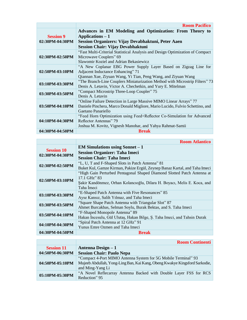|                  | <b>Room Pacifico</b>                                                          |
|------------------|-------------------------------------------------------------------------------|
|                  | Advances in EM Modeling and Optimization: From Theory to                      |
| <b>Session 9</b> | Applications $-1$                                                             |
| 02:30PM-04:30PM  | Session Organizers: Vijay Devabhaktuni, Peter Aaen                            |
|                  | <b>Session Chair: Vijay Devabhaktuni</b>                                      |
|                  | "Fast Multi-Criterial Statistical Analysis and Design Optimization of Compact |
| 02:30PM-02:50PM  | Microwave Couplers" 69                                                        |
|                  | Slawomir Koziel and Adrian Bekasiewicz                                        |
|                  | "A New Coplanar EBG Power Supply Layer Based on Zigzag Line for               |
| 02:50PM-03:10PM  | Adjacent Inductance Enhancing" 71                                             |
|                  | Qiannan Xue, Ziyuan Wang, Yi Tian, Peng Wang, and Ziyuan Wang                 |
| 03:10PM-03:30PM  | "The Branch-Line Couplers Miniaturization Method with Microstrip Filters" 73  |
|                  | Denis A. Letavin, Victor A. Chechetkin, and Yury E. Mitelman                  |
| 03:30PM-03:50PM  | "Compact Microstrip Three-Loop Coupler" 75                                    |
|                  | Denis A. Letavin                                                              |
|                  | "Online Failure Detection in Large Massive MIMO Linear Arrays" 77             |
| 03:50PM-04:10PM  | Daniele Pinchera, Marco Donald Migliore, Mario Lucido, Fulvio Schettino, and  |
|                  | Gaetano Panariello                                                            |
|                  | "Feed Horn Optimization using Feed+Reflector Co-Simulation for Advanced       |
| 04:10PM-04:30PM  | Reflector Antennas" 79                                                        |
|                  | Joshua M. Kovitz, Vignesh Manohar, and Yahya Rahmat-Samii                     |
| 04:30PM-04:50PM  | <b>Break</b>                                                                  |

|                                      | <b>Room Atlantico</b>                                                      |
|--------------------------------------|----------------------------------------------------------------------------|
|                                      | <b>EM Simulations using Sonnet – 1</b>                                     |
| <b>Session 10</b><br>02:30PM-04:30PM | <b>Session Organizer: Taha Imeci</b>                                       |
|                                      | <b>Session Chair: Taha Imeci</b>                                           |
| 02:30PM-02:50PM                      | "L, U, T and F-Shaped Slots in Patch Antenna" 81                           |
|                                      | Buket Kul, Gamze Kirman, Pakize Ergül, Zeynep Banaz Kartal, and Taha Imeci |
|                                      | "High Gain Perturbed Pentagonal Shaped Diamond Slotted Patch Antenna at    |
| 02:50PM-03:10PM                      | $17.1$ GHz" 83                                                             |
|                                      | Şakir Kandönmez, Orhan Kolancıoğlu, Dilara H. Boyacı, Melis E. Koca, and   |
|                                      | Taha İmeci                                                                 |
| 03:10PM-03:30PM                      | "E-Shaped Patch Antenna with Five Resonances" 85                           |
|                                      | Ayse Kansız, Salih Yılmaz, and Taha Imeci                                  |
|                                      | "Square Shape Patch Antenna with Triangular Slot" 87                       |
| 03:30PM-03:50PM                      | Ahmet Burcakbas, Selman Soylu, Burak Bektas, and S. Taha Imeci             |
|                                      | "F-Shaped Monopole Antenna" 89                                             |
| 03:50PM-04:10PM                      | Hakan Incesulu, Gül Ulutaş, Hakan Bilge, Ş. Taha Imeci, and Tahsin Durak   |
|                                      | "Spiral Patch Antenna at 12 GHz" 91                                        |
| 04:10PM-04:30PM                      | Yunus Emre Ozmen and Taha Imeci                                            |
| 04:30PM-04:50PM                      | Break                                                                      |

|                   | <b>Room Continenti</b>                                                     |
|-------------------|----------------------------------------------------------------------------|
| <b>Session 11</b> | Antenna Design – 1                                                         |
| 04:50PM-06:30PM   | <b>Session Chair: Paolo Nepa</b>                                           |
| 04:50PM-05:10PM   | "Compact 4-Port MIMO Antenna System for 5G Mobile Terminal" 93             |
|                   | Mujeeb Abdullah, Yong-Ling Ban, Kai Kang, Obeng Kwakye Kingsford Sarkodie, |
|                   | and Ming-Yang Li                                                           |
| 05:10PM-05:30PM   | "A Novel Reflecarray Antenna Backed with Double Layer FSS for RCS          |
|                   | Reduction" 95                                                              |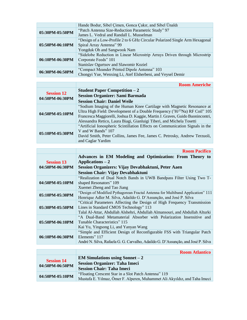|                 | Hande Bodur, Sibel Çimen, Gonca Çakır, and Sibel Ünaldı                     |
|-----------------|-----------------------------------------------------------------------------|
| 05:30PM-05:50PM | "Patch Antenna Size-Reduction Parametric Study" 97                          |
|                 | James L. Vedral and Randall L. Musselman                                    |
| 05:50PM-06:10PM | "Design of a Low-Profile 2 to 6 GHz Circular Polarized Single Arm Hexagonal |
|                 | Spiral Array Antenna" 99                                                    |
|                 | Yongduk Oh and Sangwook Nam                                                 |
| 06:10PM-06:30PM | "Sidelobe Reduction in Linear Microstrip Arrays Driven through Microstrip   |
|                 | Corporate Feeds" 101                                                        |
|                 | Stanislav Ogurtsov and Slawomir Koziel                                      |
| 06:30PM-06:50PM | "Compact Meander Printed Dipole Antenna" 103                                |
|                 | Chongyi Yue, Wenxing Li, Atef Elsherbeni, and Veysel Demir                  |

|                                      | <b>Room Americhe</b>                                                                   |
|--------------------------------------|----------------------------------------------------------------------------------------|
|                                      | <b>Student Paper Competition <math>-2</math></b>                                       |
| <b>Session 12</b><br>04:50PM-06:30PM | <b>Session Organizer: Sami Barmada</b>                                                 |
|                                      | <b>Session Chair: Daniel Weile</b>                                                     |
| 04:50PM-05:10PM                      | "Sodium Imaging of the Human Knee Cartilage with Magnetic Resonance at                 |
|                                      | Ultra High Field: Development of a Double Frequency $({}^{1}H/{}^{23}Na)$ RF Coil" 105 |
|                                      | Francesca Maggiorelli, Joshua D. Kaggie, Martin J. Graves, Guido Buonincontri,         |
|                                      | Alessandra Retico, Laura Biagi, Gianluigi Tiberi, and Michela Tosetti                  |
| 05:10PM-05:30PM                      | "Artificial Ionospheric Scintillation Effects on Communication Signals in the          |
|                                      | V and W Bands" 107                                                                     |
|                                      | David Smith, Peter Collins, James Fee, James C. Petrosky, Andrew Terzuoli,             |
|                                      | and Caglar Yardim                                                                      |

п

|                     | <b>Room Pacifico</b>                                                             |
|---------------------|----------------------------------------------------------------------------------|
|                     | Advances in EM Modeling and Optimization: From Theory to                         |
| <b>Session 13</b>   | Applications $-2$                                                                |
| 04:50PM-06:30PM     | Session Organizers: Vijay Devabhaktuni, Peter Aaen                               |
|                     | <b>Session Chair: Vijay Devabhaktuni</b>                                         |
|                     | "Realization of Dual Notch Bands in UWB Bandpass Filter Using Two T-             |
| $04:50PM - 05:10PM$ | shaped Resonators" 109                                                           |
|                     | Xuemei Zheng and Tao Jiang                                                       |
| 05:10PM-05:30PM     | "Design of Modified Pythagorean Fractal Antenna for Multiband Application" 111   |
|                     | Henrique Adler M. Silva, Adaildo G. D'Assunção, and José P. Silva                |
|                     | "Critical Parameters Affecting the Design of High Frequency Transmission         |
| 05:30PM-05:50PM     | Lines in Standard CMOS Technology" 113                                           |
|                     | Talal Al-Attar, Abdullah Alshehri, Abdullah Almansouri, and Abdullah Alturki     |
|                     | "A Dual-Band Metamaterial Absorber with Polarization Insensitive and             |
| 05:50PM-06:10PM     | Tunable Characteristics" 115                                                     |
|                     | Kai Yu, Yingsong Li, and Yanyan Wang                                             |
|                     | "Simple and Efficient Design of Reconfigurable FSS with Triangular Patch         |
| 06:10PM-06:30PM     | Elements" 117                                                                    |
|                     | André N. Silva, Rafaela G. G. Carvalho, Adaildo G. D'Assunção, and José P. Silva |

|                                      | <b>Room Atlantico</b>                                                     |
|--------------------------------------|---------------------------------------------------------------------------|
| <b>Session 14</b><br>04:50PM-06:50PM | <b>EM Simulations using Sonnet – 2</b>                                    |
|                                      | <b>Session Organizer: Taha Imeci</b>                                      |
|                                      | <b>Session Chair: Taha Imeci</b>                                          |
| 04:50PM-05:10PM                      | "Floating Crescent Star in a Slot Patch Antenna" 119                      |
|                                      | Mustafa E. Yılmaz, Ömer F. Alperen, Muhammet Ali Akyıldız, and Taha Imeci |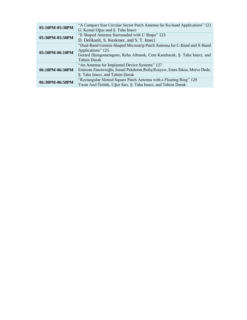| 05:10PM-05:30PM | "A Compact Size Circular Sector Patch Antenna for Ku-band Applications" 121   |
|-----------------|-------------------------------------------------------------------------------|
|                 | G. Kemal Oğuz and Ş. Taha İmeci                                               |
| 05:30PM-05:50PM | "E Shaped Antenna Surrounded with U Shape" 123                                |
|                 | D. Delikanli, S. Keskiner, and S. T. Imeci                                    |
|                 | "Dual-Band Gemini-Shaped Microstrip Patch Antenna for C-Band and X-Band       |
|                 | Applications" 125                                                             |
| 05:50PM-06:10PM | Gerard Djengomemgoto, Reha Altunok, Cem Karabacak, Ş. Taha Imeci, and         |
|                 | <b>Tahsin Durak</b>                                                           |
| 06:10PM-06:30PM | "An Antenna for Implanted Device Systems" 127                                 |
|                 | Emircan Zincircioğlu, İsmail Pekdemir, Rafiq Rzayew, Emre Ilıksu, Merve Dede, |
|                 | S. Taha Imeci, and Tahsin Durak                                               |
| 06:30PM-06:50PM | "Rectangular Slotted Square Patch Antenna with a Floating Ring" 129           |
|                 | Yasin Anıl Öztürk, Uğur Sarı, Ş. Taha Imeci, and Tahsin Durak                 |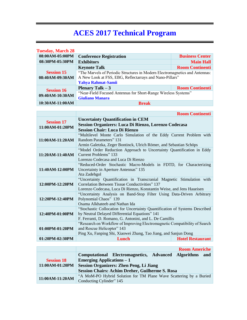| <b>Tuesday, March 28</b>             |                                                                              |                        |
|--------------------------------------|------------------------------------------------------------------------------|------------------------|
| 08:00AM-05:00PM                      | <b>Conference Registration</b>                                               | <b>Business Center</b> |
| 08:30PM-05:30PM                      | <b>Exhibitors</b>                                                            | <b>Main Hall</b>       |
|                                      | <b>Keynote Talk</b>                                                          | <b>Room Continenti</b> |
| <b>Session 15</b>                    | "The Marvels of Periodic Structures in Modern Electromagnetics and Antennas: |                        |
| 08:40AM-09:30AM                      | A New Look at FSS, EBG, Reflectarrays and Nano-Pillars"                      |                        |
|                                      | <b>Yahya Rahmat-Samii</b>                                                    |                        |
| <b>Session 16</b><br>09:40AM-10:30AM | <b>Plenary Talk – 3</b>                                                      | <b>Room Continenti</b> |
|                                      | "Near-Field Focused Antennas for Short-Range Wireless Systems"               |                        |
|                                      | <b>Giuliano Manara</b>                                                       |                        |
| 10:30AM-11:00AM                      | <b>Break</b>                                                                 |                        |

|                   |                                                                                              | <b>Room Continenti</b>  |
|-------------------|----------------------------------------------------------------------------------------------|-------------------------|
| <b>Session 17</b> | <b>Uncertainty Quantification in CEM</b>                                                     |                         |
| 11:00AM-01:20PM   | Session Organizers: Luca Di Rienzo, Lorenzo Codecasa<br><b>Session Chair: Luca Di Rienzo</b> |                         |
|                   | "Multilevel Monte Carlo Simulation of the Eddy Current Problem with                          |                         |
| 11:00AM-11:20AM   | Random Parameters" 131                                                                       |                         |
|                   | Armin Galetzka, Zeger Bontinck, Ulrich Römer, and Sebastian Schöps                           |                         |
|                   | "Model Order Reduction Approach to Uncertainty Quantification in Eddy                        |                         |
| 11:20AM-11:40AM   | Current Problems" 133                                                                        |                         |
|                   | Lorenzo Codecasa and Luca Di Rienzo                                                          |                         |
|                   | "Reduced-Order Stochastic Macro-Models in FDTD, for Characterizing                           |                         |
| 11:40AM-12:00PM   | Uncertainty in Aperture Antennas" 135                                                        |                         |
|                   | Ata Zadehgol                                                                                 |                         |
|                   | "Uncertainty Quantification in Transcranial Magnetic Stimulation with                        |                         |
| 12:00PM-12:20PM   | Correlation Between Tissue Conductivities" 137                                               |                         |
|                   | Lorenzo Codecasa, Luca Di Rienzo, Konstantin Weise, and Jens Haueisen                        |                         |
|                   | "Uncertainty Analysis on Band-Stop Filter Using Data-Driven Arbitrary                        |                         |
| 12:20PM-12:40PM   | Polynomial Chaos" 139                                                                        |                         |
|                   | Osama Alkhateeb and Nathan Ida                                                               |                         |
|                   | "Stochastic Collocation for Uncertainty Quantification of Systems Described                  |                         |
| 12:40PM-01:00PM   | by Neutral Delayed Differential Equations" 141                                               |                         |
|                   | F. Ferranti, D. Romano, G. Antonini, and L. De Camillis                                      |                         |
|                   | "Research on Workflow of Improving Electromagnetic Compatibility of Search                   |                         |
| 01:00PM-01:20PM   | and Rescue Helicopter" 143                                                                   |                         |
|                   | Ping Xu, Fanping Shi, Xiaowei Zhang, Tao Jiang, and Sanjun Dong                              |                         |
| 01:20PM-02:30PM   | Lunch                                                                                        | <b>Hotel Restaurant</b> |

|                   |                                  |                                                                    | <b>Room Americhe</b> |     |
|-------------------|----------------------------------|--------------------------------------------------------------------|----------------------|-----|
|                   |                                  | Computational Electromagnetics, Advanced Algorithms                |                      | and |
| <b>Session 18</b> | <b>Emerging Applications – 1</b> |                                                                    |                      |     |
| 11:00AM-01:20PM   |                                  | <b>Session Organizers: Zhen Peng, Li Jiang</b>                     |                      |     |
|                   |                                  | <b>Session Chairs: Achim Dreher, Guilherme S. Rosa</b>             |                      |     |
| 11:00AM-11:20AM   |                                  | "A MoM-PO Hybrid Solution for TM Plane Wave Scattering by a Buried |                      |     |
|                   | Conducting Cylinder" 145         |                                                                    |                      |     |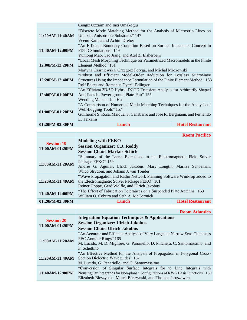|                 | Cengiz Ozzaim and Inci Umakoglu                                                                                                                                                                 |                         |  |
|-----------------|-------------------------------------------------------------------------------------------------------------------------------------------------------------------------------------------------|-------------------------|--|
| 11:20AM-11:40AM | "Discrete Mode Matching Method for the Analysis of Microstrip Lines on<br>Uniaxial Anisotropic Substrates" 147<br>Veenu Kamra and Achim Dreher                                                  |                         |  |
| 11:40AM-12:00PM | "An Efficient Boundary Condition Based on Surface Impedance Concept in<br>FDTD Simulations" 149<br>Yunlong Mao, Tao Jiang, and Atef Z. Elsherbeni                                               |                         |  |
| 12:00PM-12:20PM | "Local Mesh Morphing Technique for Parametrized Macromodels in the Finite<br>Element Method" 151<br>Martyna Czarniewska, Grzegorz Fotyga, and Michał Mrozowski                                  |                         |  |
| 12:20PM-12:40PM | "Robust and Efficient Model-Order Reduction for Lossless Microwave<br>Structures Using the Impedance Formulation of the Finite Element Method" 153<br>Rolf Baltes and Romanus Dyczij-Edlinger   |                         |  |
| 12:40PM-01:00PM | "An Efficient 2D/3D Hybrid DGTD Transient Analysis for Arbitrarily Shaped<br>Anti-Pads in Power-ground Plate-Pair" 155<br>Wending Mai and Jun Hu                                                |                         |  |
| 01:00PM-01:20PM | "A Comparison of Numerical Mode-Matching Techniques for the Analysis of<br>Well-Logging Tools" 157<br>Guilherme S. Rosa, Maiquel S. Canabarro and José R. Bergmann, and Fernando<br>L. Teixeira |                         |  |
| 01:20PM-02:30PM | Lunch                                                                                                                                                                                           | <b>Hotel Restaurant</b> |  |

|                   |                                                                         | <b>Room Pacifico</b>    |
|-------------------|-------------------------------------------------------------------------|-------------------------|
|                   | <b>Modeling with FEKO</b>                                               |                         |
| <b>Session 19</b> | <b>Session Organizer: C.J. Reddy</b>                                    |                         |
| 11:00AM-01:20PM   | <b>Session Chair: Markus Schick</b>                                     |                         |
|                   | "Summary of the Latest Extensions to the Electromagnetic Field Solver   |                         |
| 11:00AM-11:20AM   | Package FEKO" 159                                                       |                         |
|                   | Andrés G. Aguilar, Ulrich Jakobus, Mary Longtin, Marlize Schoeman,      |                         |
|                   | Wilco Strydom, and Johann J. van Tonder                                 |                         |
|                   | "Wave Propagation and Radio Network Planning Software WinProp added to  |                         |
| 11:20AM-11:40AM   | the Electromagnetic Solver Package FEKO" 161                            |                         |
|                   | Reiner Hoppe, Gerd Wölfle, and Ulrich Jakobus                           |                         |
| 11:40AM-12:00PM   | "The Effect of Fabrication Tolerances on a Suspended Plate Antenna" 163 |                         |
|                   | William O. Coburn and Seth A. McCormick                                 |                         |
| 01:20PM-02:30PM   | Lunch                                                                   | <b>Hotel Restaurant</b> |

**Room Atlantico**

| <b>Session 20</b><br>11:00AM-01:20PM | <b>Integration Equation Techniques &amp; Applications</b><br><b>Session Organizer: Ulrich Jakobus</b><br><b>Session Chair: Ulrich Jakobus</b>                                                                              |
|--------------------------------------|----------------------------------------------------------------------------------------------------------------------------------------------------------------------------------------------------------------------------|
| 11:00AM-11:20AM                      | "An Accurate and Efficient Analysis of Very Large but Narrow Zero-Thickness<br>PEC Annular Rings" 165<br>M. Lucido, M. D. Migliore, G. Panariello, D. Pinchera, C. Santomassimo, and<br>F. Schettino                       |
| 11:20AM-11:40AM                      | "An Effective Method for the Analysis of Propagation in Polygonal Cross-<br>Section Dielectric Waveguides" 167<br>M. Lucido, G. Panariello, and C. Santomassimo                                                            |
| 11:40AM-12:00PM                      | "Conversion of Singular Surface Integrals for to Line Integrals with<br>Nonsingular Integrands for Non-planar Configurations of RWG Basis Functions" 169<br>Elizabeth Bleszynski, Marek Bleszynski, and Thomas Jaroszewicz |

 $\mathbb{R}^n$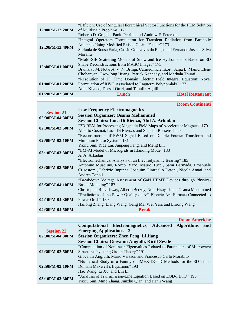| 12:00PM-12:20PM     | "Efficient Use of Singular Hierarchical Vector Functions for the FEM Solution |                         |
|---------------------|-------------------------------------------------------------------------------|-------------------------|
|                     | of Multiscale Problems" 171                                                   |                         |
|                     | Roberto D. Graglia, Paolo Petrini, and Andrew F. Peterson                     |                         |
|                     | "Integral Operators Formulation for Transient Radiation from Parabolic        |                         |
| 12:20PM-12:40PM     | Antennas Using Modified Raised Cosine Feeder" 173                             |                         |
|                     | Stefania de Sousa Faria, Cassio Goncalves do Rego, and Fernando Jose da Silva |                         |
|                     | Moreira                                                                       |                         |
|                     | "MoM-SIE Scattering Models of Snow and Ice Hydrometeors Based on 3D           |                         |
| 12:40PM-01:00PM     | Shape Reconstructions from MASC Images" 175                                   |                         |
|                     | Branislav M. Notaroš, V. N. Bringi, Cameron Kleinkort, Sanja B. Manić, Elene  |                         |
|                     | Chobanyan, Gwo-Jong Huang, Patrick Kennedy, and Merhala Thurai                |                         |
|                     | "Resolution of 2D Time Domain Electric Field Integral Equation: Novel         |                         |
| $01:00PM - 01:20PM$ | Formulation of RWG Associated to Laguerre Polynomials" 177                    |                         |
|                     | Auns Khaled, Dorsaf Omri, and Taoufik Aguili                                  |                         |
| $01:20PM - 02:30PM$ | Lunch                                                                         | <b>Hotel Restaurant</b> |

|                   | <b>Room Continenti</b>                                                     |
|-------------------|----------------------------------------------------------------------------|
| <b>Session 21</b> | <b>Low Frequency Electromagnetics</b>                                      |
| 02:30PM-04:30PM   | <b>Session Organizer: Osama Mohammed</b>                                   |
|                   | Session Chairs: Luca Di Rienzo, Abd A. Arkadan                             |
| 02:30PM-02:50PM   | "2D BEM for Processing Magnetic Field Maps of Accelerator Magnets" 179     |
|                   | Alberto Cosmai, Luca Di Rienzo, and Stephan Russenschuck                   |
|                   | "Reconstruction of PWM Signal Based on Double Fourier Transform and        |
| 02:50PM-03:10PM   | Minimum Phase System" 181                                                  |
|                   | Yaxiu Sun, Yida Lai, Junpeng Fang, and Meng Lin                            |
| 03:10PM-03:30PM   | "EM-AI Model of Microgrids in Islanding Mode" 183                          |
|                   | A. A. Arkadan                                                              |
|                   | "Electromechanical Analysis of an Electrodynamic Bearing" 185              |
| 03:30PM-03:50PM   | Antonino Musolino, Rocco Rizzo, Mauro Tucci, Sami Barmada, Emanuele        |
|                   | Crisostomi, Fabrizio Impinna, Joaquim Girardello Detoni, Nicola Amati, and |
|                   | Andrea Tonoli                                                              |
|                   | "Breakdown Voltage Assessment of GaN HEMT Devices through Physics-         |
| 03:50PM-04:10PM   | Based Modeling" 187                                                        |
|                   | Christopher R. Lashway, Alberto Berzoy, Nour Elsayad, and Osama Mohammed   |
|                   | "Predictions of the Power Quality of AC Electric Arc Furnace Connected to  |
| 04:10PM-04:30PM   | Power Grids" 189                                                           |
|                   | Hailong Zhang, Liang Wang, Gang Ma, Wei Yan, and Enrong Wang               |
| 04:30PM-04:50PM   | <b>Break</b>                                                               |

|                     | <b>Room Americhe</b>                                                     |  |  |  |  |
|---------------------|--------------------------------------------------------------------------|--|--|--|--|
|                     | Computational Electromagnetics, Advanced Algorithms<br>and               |  |  |  |  |
| <b>Session 22</b>   | <b>Emerging Applications – 2</b>                                         |  |  |  |  |
| 02:30PM-04:30PM     | <b>Session Organizers: Zhen Peng, Li Jiang</b>                           |  |  |  |  |
|                     | Session Chairs: Giovanni Angiulli, Kirill Zeyde                          |  |  |  |  |
|                     | "Computation of Nonlinear Eigenvalues Related to Parameters of Microwave |  |  |  |  |
| 02:30PM-02:50PM     | Structures by using Group Theory" 191                                    |  |  |  |  |
|                     | Giovanni Angiulli, Mario Versaci, and Francesco Carlo Morabito           |  |  |  |  |
|                     | "Numerical Study of a Family of IMEX-DGTD Methods for the 3D Time-       |  |  |  |  |
| $02:50PM - 03:10PM$ | Domain Maxwell's Equations" 193                                          |  |  |  |  |
|                     | Hao Wang, Li Xu, and Bin Li                                              |  |  |  |  |
|                     | "Analysis of Transmission-Line Equation Based on LOD-FDTD" 195           |  |  |  |  |
| 03:10PM-03:30PM     | Yaxiu Sun, Ming Zhang, Junzhu Qian, and Jianli Wang                      |  |  |  |  |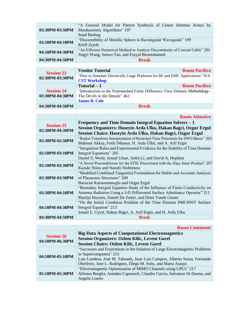| 03:30PM-03:50PM | "A General Model for Pattern Synthesis of Linear Antenna Arrays by<br>Metaheuristic Algorithms" 197<br>Suad Basbug             |
|-----------------|--------------------------------------------------------------------------------------------------------------------------------|
| 03:50PM-04:10PM | "Discernibility of Metallic Sphere in Rectangular Waveguide" 199<br>Kirill Zeyde                                               |
| 04:10PM-04:30PM | "An Efficient Numerical Method to Analyze Discontinuity of Coaxial Cable" 201<br>Jingyi Wang, Junwu Tao, and Fayçal Benmohamed |
| 04:30PM-04:50PM | <b>Break</b>                                                                                                                   |

| <b>Session 23</b><br>02:30PM-03:30PM                                                              | <b>Vendor Tutorial</b>                                                         | <b>Room Pacifico</b> |  |
|---------------------------------------------------------------------------------------------------|--------------------------------------------------------------------------------|----------------------|--|
|                                                                                                   | "How to Simulate Electrically Large Platforms for RF and EMC Applications" N/A |                      |  |
|                                                                                                   | <b>CST Workshop</b>                                                            |                      |  |
|                                                                                                   | Tutorial $-1$                                                                  | <b>Room Pacifico</b> |  |
| <b>Session 24</b><br>"Introduction to the Nonstandard Finite Difference Time Domain Methodology - |                                                                                |                      |  |
| 03:30PM-04:30PM                                                                                   | The Devils in the Details" 461                                                 |                      |  |
|                                                                                                   | <b>James B. Cole</b>                                                           |                      |  |
| 04:30PM-04:50PM                                                                                   | <b>Break</b>                                                                   |                      |  |

|                     | <b>Room Atlantico</b>                                                             |
|---------------------|-----------------------------------------------------------------------------------|
| <b>Session 25</b>   | Frequency and Time Domain Integral Equation Solvers - 1                           |
| 02:30PM-04:30PM     | Session Organizers: Huseyin Arda Ulku, Hakan Bagci, Ozgur Ergul                   |
|                     | Session Chairs: Huseyin Arda Ulku, Hakan Bagci, Ozgur Ergul                       |
| 02:30PM-02:50PM     | "Radon Transform Interpretation of Retarded-Time Potentials for SWG Bases" 203    |
|                     | Mahmut Akkuş, Fatih Dikmen, H. Arda Ülkü, and A. Arif Ergin                       |
|                     | "Integration Rules and Experimental Evidence for the Stability of Time Domain     |
| $02:50PM - 03:10PM$ | Integral Equations" 205                                                           |
|                     | Daniel S. Weile, Ismail Uluer, Jielin Li, and David A. Hopkins                    |
| 03:10PM-03:30PM     | "A Novel Preconditioner for the EFIE Discretised with the Hdiv Inner Product" 207 |
|                     | Kazuki Niino and Naoshi Nishimura                                                 |
|                     | "Modified Combined Tangential Formulation for Stable and Accurate Analysis        |
| 03:30PM-03:50PM     | of Plasmonic Structures" 209                                                      |
|                     | Barıscan Karaosmanoglu and Ozgur Ergul                                            |
|                     | "Boundary Integral Equation Study of the Influence of Finite Conductivity on      |
| 03:50PM-04:10PM     | Antenna Radiation Using a 3-D Differential Surface Admittance Operator" 211       |
|                     | Martijn Huynen, Daniel De Zutter, and Dries Vande Ginste                          |
| 04:10PM-04:30PM     | "On the Initial Condition Problem of the Time Domain PMCHWT Surface               |
|                     | Integral Equation" 213                                                            |
|                     | Ismail E. Uysal, Hakan Bagci, A. Arif Ergin, and H. Arda Ulku                     |
| 04:30PM-04:50PM     | <b>Break</b>                                                                      |

|                                      | <b>Room Continenti</b>                                                                                                                                                                                                                                |
|--------------------------------------|-------------------------------------------------------------------------------------------------------------------------------------------------------------------------------------------------------------------------------------------------------|
| <b>Session 26</b><br>04:50PM-06:30PM | <b>Big-Data Aspects of Computational Electromagnetics</b><br><b>Session Organizers: Ozlem Kilic, Levent Gurel</b><br><b>Session Chairs: Ozlem Kilic, Levent Gurel</b>                                                                                 |
| 04:50PM-05:10PM                      | "Successes and Frustrations in the Solution of Large Electromagnetic Problems<br>in Supercomputers" 215<br>Luis Landesa, José M. Taboada, Juan Luis Campon, Alberto Serna, Fernando<br>Obelleiro, Jose L. Rodríguez, Diego M. Solis, and Marta Araujo |
| 05:10PM-05:30PM                      | "Electromagnetic Optimization of MIMO Channels using GPUs" 217<br>Alfonso Breglia, Amedeo Capozzoli, Claudio Curcio, Salvatore Di Donna, and<br>Angelo Liseno                                                                                         |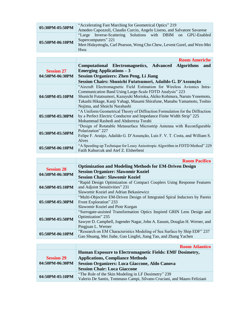| 05:30PM-05:50PM | "Accelerating Fast Marching for Geometrical Optics" 219                  |                                                              |  |  |  |  |  |
|-----------------|--------------------------------------------------------------------------|--------------------------------------------------------------|--|--|--|--|--|
|                 | Amedeo Capozzoli, Claudio Curcio, Angelo Liseno, and Salvatore Savarese  |                                                              |  |  |  |  |  |
| 05:50PM-06:10PM |                                                                          | "Large Inverse-Scattering Solutions with DBIM on GPU-Enabled |  |  |  |  |  |
|                 |                                                                          | Supercomputers" 221                                          |  |  |  |  |  |
|                 | Mert Hidayetoglu, Carl Pearson, Weng Cho Chew, Levent Gurel, and Wen-Mei |                                                              |  |  |  |  |  |
|                 | Hwu                                                                      |                                                              |  |  |  |  |  |

|                     | <b>Room Americhe</b>                                                         |  |  |  |
|---------------------|------------------------------------------------------------------------------|--|--|--|
|                     | Computational Electromagnetics, Advanced Algorithms<br>and                   |  |  |  |
| <b>Session 27</b>   | <b>Emerging Applications – 3</b>                                             |  |  |  |
| 04:50PM-06:30PM     | <b>Session Organizers: Zhen Peng, Li Jiang</b>                               |  |  |  |
|                     | Session Chairs: Shunichi Futatsumori, Adaildo G. D'Assunção                  |  |  |  |
|                     | "Aircraft Electromagnetic Field Estimation for Wireless Avionics Intra-      |  |  |  |
|                     | Communication Band Using Large-Scale FDTD Analysis" 223                      |  |  |  |
| $04:50PM - 05:10PM$ | Shunichi Futatsumori, Kazuyuki Morioka, Akiko Kohmura, Naruto Yonemoto,      |  |  |  |
|                     | Takashi Hikage, Kanji Yahagi, Masami Shirafune, Manabu Yamamoto, Toshio      |  |  |  |
|                     | Nojima, and Shoichi Narahashi                                                |  |  |  |
|                     | "A Uniform Geometrical Theory of Diffraction Formulation for the Diffraction |  |  |  |
| 05:10PM-05:30PM     | by a Perfect Electric Conductor and Impedance Finite Width Strip" 225        |  |  |  |
|                     | Mohammad Rashedi and Abdorreza Torabi                                        |  |  |  |
|                     | "Design of Rotatable Metasurface Microstrip Antenna with Reconfigurable      |  |  |  |
|                     | Polarization" 227                                                            |  |  |  |
| 05:30PM-05:50PM     | Felipe F. Araújo, Adaildo G. D'Assunção, Luis F. V. T. Costa, and William S. |  |  |  |
|                     | Alves                                                                        |  |  |  |
| 05:50PM-06:10PM     | "A Speeding up Technique for Lossy Anisotropic Algorithm in FDTD Method" 229 |  |  |  |
|                     | Fatih Kaburcuk and Atef Z. Elsherbeni                                        |  |  |  |

|                                      | <b>Room Pacifico</b>                                                                                                                                                                            |
|--------------------------------------|-------------------------------------------------------------------------------------------------------------------------------------------------------------------------------------------------|
| <b>Session 28</b><br>04:50PM-06:30PM | <b>Optimization and Modeling Methods for EM-Driven Design</b><br><b>Session Organizer: Slawomir Koziel</b><br><b>Session Chair: Slawomir Koziel</b>                                             |
| 04:50PM-05:10PM                      | "Rapid Design Optimization of Compact Couplers Using Response Features<br>and Adjoint Sensitivities" 231<br>Slawomir Koziel and Adrian Bekasiewicz                                              |
| 05:10PM-05:30PM                      | "Multi-Objective EM-Driven Design of Integrated Spiral Inductors by Pareto<br>Front Exploration" 233<br>Slawomir Koziel and Piotr Kurgan                                                        |
| 05:30PM-05:50PM                      | "Surrogate-assisted Transformation Optics Inspired GRIN Lens Design and<br>Optimization" 235<br>Sawyer D. Campbell, Jogender Nagar, John A. Easum, Douglas H. Werner, and<br>Pingjuan L. Werner |
| 05:50PM-06:10PM                      | "Research on EM Characteristics Modeling of Sea Surface by Ship EDF" 237<br>Gao Shuang, Mei Jiahe, Guo Lingfei, Jiang Tao, and Zhang Yachen                                                     |

|                   | <b>Room Atlantico</b>                                                   |
|-------------------|-------------------------------------------------------------------------|
|                   | Human Exposure to Electromagnetic Fields: EMF Dosimetry,                |
| <b>Session 29</b> | <b>Applications, Compliance Methods</b>                                 |
| 04:50PM-06:30PM   | <b>Session Organizers: Luca Giaccone, Aldo Canova</b>                   |
|                   | <b>Session Chair: Luca Giaccone</b>                                     |
| 04:50PM-05:10PM   | "The Role of the Skin Modeling in LF Dosimetry" 239                     |
|                   | Valerio De Santis, Tommaso Campi, Silvano Cruciani, and Mauro Feliziani |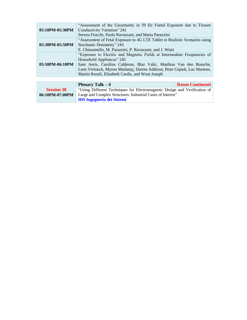| 05:10PM-05:30PM | "Assessment of the Uncertainty in 50 Hz Foetal Exposure due to Tissues      |                        |  |
|-----------------|-----------------------------------------------------------------------------|------------------------|--|
|                 | Conductivity Variation" 241                                                 |                        |  |
|                 |                                                                             |                        |  |
|                 | Serena Fiocchi, Paolo Ravazzani, and Marta Parazzini                        |                        |  |
|                 | "Assessment of Fetal Exposure to 4G LTE Tablet in Realistic Scenarios using |                        |  |
| 05:30PM-05:50PM | Stochastic Dosimetry" 243                                                   |                        |  |
|                 | E. Chiaramello, M. Parazzini, P. Ravazzani, and J. Wiart                    |                        |  |
|                 | "Exposure to Electric and Magnetic Fields at Intermediate Frequencies of    |                        |  |
|                 | Household Appliances" 245                                                   |                        |  |
| 05:50PM-06:10PM | Sam Aerts, Carolina Calderon, Blaz Valic, Matthias Van den Bossche,         |                        |  |
|                 | Leen Verloock, Myron Maslanyj, Darren Addison, Peter Gajsek, Luc Martens,   |                        |  |
|                 | Martin Roosli, Elisabeth Cardis, and Wout Joseph                            |                        |  |
|                 |                                                                             |                        |  |
|                 | <b>Plenary Talk - 4</b>                                                     | <b>Room Continenti</b> |  |
|                 | $\cdots$ $\cdots$                                                           |                        |  |

|                     | 1 IVIIII TAUR                                                              | www.communication |
|---------------------|----------------------------------------------------------------------------|-------------------|
| <b>Session 30</b>   | "Using Different Techniques for Electromagnetic Design and Verification of |                   |
| $06:10PM - 07:00PM$ | Large and Complex Structures: Industrial Cases of Interest"                |                   |
|                     | <b>IDS Ingegneria dei Sistemi</b>                                          |                   |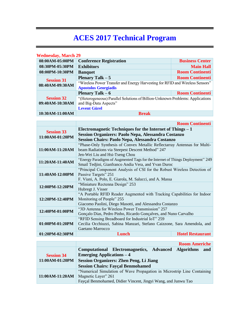| <b>Wednesday, March 29</b>                                                                         |                                                                               |                        |  |  |  |
|----------------------------------------------------------------------------------------------------|-------------------------------------------------------------------------------|------------------------|--|--|--|
| 08:00AM-05:00PM                                                                                    | <b>Business Center</b><br><b>Conference Registration</b>                      |                        |  |  |  |
| 08:30PM-05:30PM                                                                                    | <b>Main Hall</b><br><b>Exhibitors</b>                                         |                        |  |  |  |
| 08:00PM-10:30PM                                                                                    | <b>Room Continenti</b><br><b>Banquet</b>                                      |                        |  |  |  |
| <b>Session 31</b>                                                                                  | <b>Plenary Talk – 5</b>                                                       | <b>Room Continenti</b> |  |  |  |
| 08:40AM-09:30AM                                                                                    | "Wireless Power Transfer and Energy Harvesting for RFID and Wireless Sensors" |                        |  |  |  |
|                                                                                                    | <b>Apostolos Georgiadis</b>                                                   |                        |  |  |  |
|                                                                                                    | <b>Plenary Talk – 6</b>                                                       | <b>Room Continenti</b> |  |  |  |
| <b>Session 32</b><br>"(Heterogeneous) Parallel Solutions of Billion-Unknown Problems: Applications |                                                                               |                        |  |  |  |
| 09:40AM-10:30AM                                                                                    | and Big-Data Aspects"                                                         |                        |  |  |  |
|                                                                                                    | <b>Levent Gürel</b>                                                           |                        |  |  |  |
| 10:30AM-11:00AM                                                                                    | <b>Break</b>                                                                  |                        |  |  |  |

|                   |                                                                                | <b>Room Continenti</b>  |
|-------------------|--------------------------------------------------------------------------------|-------------------------|
| <b>Session 33</b> | Electromagnetic Techniques for the Internet of Things – 1                      |                         |
| 11:00AM-01:20PM   | Session Organizers: Paolo Nepa, Alessandra Costanzo                            |                         |
|                   | <b>Session Chairs: Paolo Nepa, Alessandra Costanzo</b>                         |                         |
|                   | "Phase-Only Synthesis of Convex Metallic Reflectarray Antennas for Multi-      |                         |
| 11:00AM-11:20AM   | beam Radiations via Steepest Descent Method" 247                               |                         |
|                   | Jen-Wei Liu and Hsi-Tseng Chou                                                 |                         |
| 11:20AM-11:40AM   | "Energy Paradigms of Augmented Tags for the Internet of Things Deployment" 249 |                         |
|                   | Smail Tedjini, Gianfranco Andia Vera, and Yvan Duroc                           |                         |
|                   | "Principal Component Analysis of CSI for the Robust Wireless Detection of      |                         |
| 11:40AM-12:00PM   | Passive Targets" 251                                                           |                         |
|                   | F. Viani, A. Polo, E. Giarola, M. Salucci, and A. Massa                        |                         |
| 12:00PM-12:20PM   | "Miniature Rectenna Design" 253                                                |                         |
|                   | Hubregt J. Visser                                                              |                         |
|                   | "A Portable RFID Reader Augmented with Tracking Capabilities for Indoor        |                         |
| 12:20PM-12:40PM   | Monitoring of People" 255                                                      |                         |
|                   | Giacomo Paolini, Diego Masotti, and Alessandra Costanzo                        |                         |
| 12:40PM-01:00PM   | "3D Antenna for Wireless Power Transmission" 257                               |                         |
|                   | Gonçalo Dias, Pedro Pinho, Ricardo Gonçalves, and Nuno Carvalho                |                         |
|                   | "RFID Sensing Breadboard for Industrial IoT" 259                               |                         |
| 01:00PM-01:20PM   | Cecilia Occhiuzzi, Sabina Manzari, Stefano Caizzone, Sara Amendola, and        |                         |
|                   | Gaetano Marrocco                                                               |                         |
| 01:20PM-02:30PM   | Lunch                                                                          | <b>Hotel Restaurant</b> |

|                   |                                                                         | <b>Room Americhe</b> |
|-------------------|-------------------------------------------------------------------------|----------------------|
|                   | Computational Electromagnetics, Advanced Algorithms                     | and                  |
| <b>Session 34</b> | <b>Emerging Applications – 4</b>                                        |                      |
| 11:00AM-01:20PM   | <b>Session Organizers: Zhen Peng, Li Jiang</b>                          |                      |
|                   | <b>Session Chairs: Fayçal Benmohamed</b>                                |                      |
|                   | "Numerical Simulation of Wave Propagation in Microstrip Line Containing |                      |
| 11:00AM-11:20AM   | Magnetic Layer" 261                                                     |                      |
|                   | Fayçal Benmohamed, Didier Vincent, Jingyi Wang, and Junwu Tao           |                      |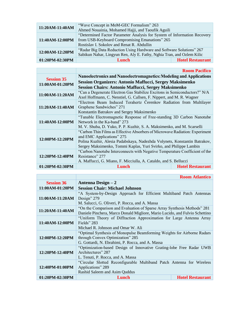| 11:20AM-11:40AM | "Wave Concept in MoM-GEC Formalism" 263<br>Ahmed Nouainia, Mohamed Hajji, and Taoufik Aguili                                                                             |                         |
|-----------------|--------------------------------------------------------------------------------------------------------------------------------------------------------------------------|-------------------------|
| 11:40AM-12:00PM | "Determined Factor Parameter Analysis for System of Information Recovery<br>from USB-Keyboard Compromising Emanations" 265<br>Rostislav I. Sokolov and Renat R. Abdullin |                         |
| 12:00AM-12:20PM | "Radar Big Data Reduction Using Hardware and Software Solutions" 267<br>Sabikun Nahar, Lingyun Ren, Aly E. Fathy, Nghia Tran, and Ozlem Kilic                            |                         |
| 01:20PM-02:30PM | Lunch                                                                                                                                                                    | <b>Hotel Restaurant</b> |

г

|                                      |                                                                              | <b>Room Pacifico</b>    |
|--------------------------------------|------------------------------------------------------------------------------|-------------------------|
|                                      | Nanoelectronics and Nanoelectromagnetics: Modeling and Applications          |                         |
| <b>Session 35</b><br>11:00AM-01:20PM | <b>Session Organizers: Antonio Maffucci, Sergey Maksimenko</b>               |                         |
|                                      | <b>Session Chairs: Antonio Maffucci, Sergey Maksimenko</b>                   |                         |
| 11:00AM-11:20AM                      | "Can a Degenerate Electron Gas Stabilize Excitons in Semiconductors?" N/A    |                         |
|                                      | Axel Hoffmann, C. Nenstiel, G. Callsen, F. Nippert, and M. R. Wagner         |                         |
|                                      | "Electron Beam Induced Terahertz Čerenkov Radiation from Multilayer          |                         |
| 11:20AM-11:40AM                      | Graphene Sandwiches" 271                                                     |                         |
|                                      | Konstantin Batrakov and Sergey Maksimenko                                    |                         |
|                                      | "Tunable Electromagnetic Response of Free-standing 3D Carbon Nanotube        |                         |
| 11:40AM-12:00PM                      | Network in the Ka-band" 273                                                  |                         |
|                                      | M. V. Shuba, D. Yuko, P. P. Kuzhir, S. A. Maksimenko, and M. Scarselli       |                         |
|                                      | "Carbon Thin Films as Effective Absorbers of Microwave Radiation: Experiment |                         |
| 12:00PM-12:20PM                      | and EMC Applications" 275                                                    |                         |
|                                      | Polina Kuzhir, Alesia Padabskaya, Nadezhda Volynets, Konstantin Batrakov,    |                         |
|                                      | Sergey Maksimenko, Tommi Kaplas, Yuri Svirko, and Philippe Lambin            |                         |
|                                      | "Carbon Nanotube Interconnects with Negative Temperature Coefficient of the  |                         |
| 12:20PM-12:40PM                      | Resistance" 277                                                              |                         |
|                                      | A. Maffucci, G. Miano, F. Micciulla, A. Cataldo, and S. Bellucci             |                         |
| 01:20PM-02:30PM                      | Lunch                                                                        | <b>Hotel Restaurant</b> |

|                   |                                                                             | <b>Room Atlantico</b>   |  |
|-------------------|-----------------------------------------------------------------------------|-------------------------|--|
| <b>Session 36</b> | Antenna Design – 2                                                          |                         |  |
| 11:00AM-01:20PM   | <b>Session Chair: Michael Johnson</b>                                       |                         |  |
|                   | "A System-by-Design Approach for Efficient Multiband Patch Antennas         |                         |  |
| 11:00AM-11:20AM   | Design" $279$                                                               |                         |  |
|                   | M. Salucci, G. Oliveri, P. Rocca, and A. Massa                              |                         |  |
|                   | "On the Comparison and Evaluation of Sparse Array Synthesis Methods" 281    |                         |  |
| 11:20AM-11:40AM   | Daniele Pinchera, Marco Donald Migliore, Mario Lucido, and Fulvio Schettino |                         |  |
|                   | "Uniform Theory of Diffraction Approximation for Large Antenna Array        |                         |  |
| 11:40AM-12:00PM   | Fields" 283                                                                 |                         |  |
|                   | Michael R. Johnson and Omar W. Ali                                          |                         |  |
|                   | "Optimal Synthesis of Monopulse Beamforming Weights for Airborne Radars"    |                         |  |
| 12:00PM-12:20PM   | through Convex Optimization" 285                                            |                         |  |
|                   | G. Gottardi, N. Ebrahimi, P. Rocca, and A. Massa                            |                         |  |
|                   | "Optimization-based Design of Innovative Grating-lobe Free Radar UWB        |                         |  |
| 12:20PM-12:40PM   | Architectures" 287                                                          |                         |  |
|                   | L. Tenuti, P. Rocca, and A. Massa                                           |                         |  |
| 12:40PM-01:00PM   | "Circular Slotted Reconfigurable Multiband Patch Antenna for Wireless       |                         |  |
|                   | Applications" 289                                                           |                         |  |
|                   | Rashid Saleem and Asim Quddus                                               |                         |  |
| 01:20PM-02:30PM   | Lunch                                                                       | <b>Hotel Restaurant</b> |  |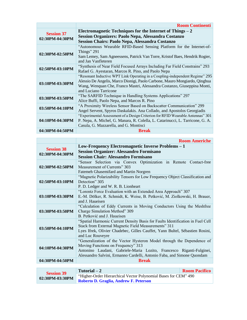|                   | <b>Room Continenti</b>                                                         |
|-------------------|--------------------------------------------------------------------------------|
| <b>Session 37</b> | Electromagnetic Techniques for the Internet of Things $-2$                     |
| 02:30PM-04:30PM   | Session Organizers: Paolo Nepa, Alessandra Costanzo                            |
|                   | <b>Session Chairs: Paolo Nepa, Alessandra Costanzo</b>                         |
|                   | "Autonomous Wearable RFID-Based Sensing Platform for the Internet-of-          |
| 02:30PM-02:50PM   | Things" 291                                                                    |
|                   | Sam Lemey, Sam Agneessens, Patrick Van Torre, Kristof Baes, Hendrik Rogier,    |
|                   | and Jan Vanfleteren                                                            |
| 02:50PM-03:10PM   | "Synthesis of Near Field Focused Arrays Including Far Field Constrains" 293    |
|                   | Rafael G. Ayestaran, Marcos R. Pino, and Paolo Nepa                            |
|                   | "Resonant Inductive WPT Link Operating in a Coupling-independent Regime" 295   |
| 03:10PM-03:30PM   | Alessio De Angelis, Marco Dionigi, Paolo Carbone, Mauro Mongiardo, Qinghua     |
|                   | Wang, Wenquan Che, Franco Mastri, Alessandra Costanzo, Giuseppina Monti,       |
|                   | and Luciano Tarricone                                                          |
| 03:30PM-03:50PM   | "The SARFID Technique in Handling Systems Applications" 297                    |
|                   | Alice Buffi, Paolo Nepa, and Marcos R. Pino                                    |
| 03:50PM-04:10PM   | "A Proximity Wireless Sensor Based on Backscatter Communication" 299           |
|                   | Angel Servent, Spyros Daskalakis. Ana Collado, and Apostolos Georgiadis        |
|                   | "Experimental Assessment of a Design Criterion for RFID Wearable Antennas" 301 |
| 04:10PM-04:30PM   | P. Nepa, A. Michel, G. Manara, R. Colella, L. Catarinucci, L. Tarricone, G. A. |
|                   | Casula, G. Mazzarella, and G. Montisci                                         |
| 04:30PM-04:50PM   | <b>Break</b>                                                                   |

|                                      | <b>Room Americhe</b>                                                                                                                                                                                                                                           |  |
|--------------------------------------|----------------------------------------------------------------------------------------------------------------------------------------------------------------------------------------------------------------------------------------------------------------|--|
| <b>Session 38</b><br>02:30PM-04:30PM | Low-Frequency Electromagnetic Inverse Problems – 1<br><b>Session Organizer: Alessandro Formisano</b><br><b>Session Chair: Alessandro Formisano</b>                                                                                                             |  |
| 02:30PM-02:50PM                      | "Sensor Selection via Convex Optimization in Remote Contact-free<br>Measurement of Currents" 303<br>Fatemeh Ghasemifard and Martin Norgren                                                                                                                     |  |
| 02:50PM-03:10PM                      | "Magnetic Polarizability Tensors for Low Frequency Object Classification and<br>Detection" 305<br>P. D. Ledger and W. R. B. Lionheart                                                                                                                          |  |
| 03:10PM-03:30PM                      | "Lorentz Force Evaluation with an Extended Area Approach" 307<br>E.-M. Dölker, R. Schmidt, K. Weise, B. Petković, M. Ziolkowski, H. Brauer,<br>and J. Haueisen                                                                                                 |  |
| 03:30PM-03:50PM                      | "Calculation of Eddy Currents in Moving Conductors Using the Meshfree<br>Charge Simulation Method" 309<br>B. Petković and J. Haueisen                                                                                                                          |  |
| 03:50PM-04:10PM                      | "Spatial Harmonic Current Density Basis for Faults Identification in Fuel Cell<br>Stack from External Magnetic Field Measurements" 311<br>Lyes Ifrek, Olivier Chadebec, Gilles Cauffet, Yann Bultel, Sébastien Rosini,<br>and Luc Rouveyre                     |  |
| 04:10PM-04:30PM                      | "Generalization of the Vector Hysteron Model through the Dependence of<br>Moving Functions on Frequency" 313<br>Antonino Laudani, Gabriele-Maria Lozito, Francesco Riganti-Fulginei,<br>Alessandro Salvini, Ermanno Cardelli, Antonio Faba, and Simone Quondam |  |
| 04:30PM-04:50PM                      | <b>Break</b>                                                                                                                                                                                                                                                   |  |

| <b>Session 39</b> | Tutorial $-2$                                                                                             | <b>Room Pacifico</b> |
|-------------------|-----------------------------------------------------------------------------------------------------------|----------------------|
| 02:30PM-03:30PM   | "Higher-Order Hierarchical Vector Polynomial Bases for CEM" 490<br>Roberto D. Graglia, Andrew F. Peterson |                      |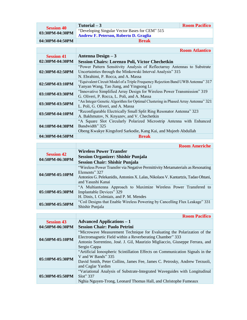| <b>Session 40</b><br>03:30PM-04:30PM | Tutorial $-3$                                  | <b>Room Pacifico</b> |
|--------------------------------------|------------------------------------------------|----------------------|
|                                      | "Developing Singular Vector Bases for CEM" 515 |                      |
|                                      | <b>Andrew F. Peterson, Roberto D. Graglia</b>  |                      |
| 04:30PM-04:50PM                      | <b>Break</b>                                   |                      |

|                   | <b>Room Atlantico</b>                                                             |
|-------------------|-----------------------------------------------------------------------------------|
| <b>Session 41</b> | Antenna Design – 3                                                                |
| 02:30PM-04:30PM   | <b>Session Chairs: Lorenzo Poli, Victor Chechetkin</b>                            |
|                   | "Power Pattern Sensitivity Analysis of Reflectarray Antennas to Substrate         |
| 02:30PM-02:50PM   | Uncertainties through the Minkowski Interval Analysis" 315                        |
|                   | N. Ebrahimi, P. Rocca, and A. Massa                                               |
| 02:50PM-03:10PM   | "Equivalent Circuit Model of a Triple Frequency Rejection Band UWB Antenna" 317   |
|                   | Yanyan Wang, Tao Jiang, and Yingsong Li                                           |
| 03:10PM-03:30PM   | "Innovative Simplified Array Design for Wireless Power Transmission" 319          |
|                   | G. Oliveri, P. Rocca, L. Poli, and A. Massa                                       |
| 03:30PM-03:50PM   | "An Integer Genetic Algorithm for Optimal Clustering in Phased Array Antenna" 321 |
|                   | L. Poli, G. Oliveri, and A. Massa                                                 |
| 03:50PM-04:10PM   | "Reconfigurable Electrically Small Split Ring Resonator Antenna" 323              |
|                   | A. Bakhmutov, N. Knyazev, and V. Chechetkin                                       |
|                   | "A Square Slot Circularly Polarized Microstrip Antenna with Enhanced              |
| 04:10PM-04:30PM   | Bandwidth" 325                                                                    |
|                   | Obeng Kwakye Kingsford Sarkodie, Kang Kai, and Mujeeb Abdullah                    |
| 04:30PM-04:50PM   | <b>Break</b>                                                                      |

|                                      | <b>Room Americhe</b>                                                              |
|--------------------------------------|-----------------------------------------------------------------------------------|
| <b>Session 42</b><br>04:50PM-06:30PM | <b>Wireless Power Transfer</b>                                                    |
|                                      | <b>Session Organizer: Shishir Punjala</b>                                         |
|                                      | <b>Session Chair: Shishir Punjala</b>                                             |
|                                      | "Wireless Power Transfer via Negative Permittivity Metamaterials as Resonating    |
|                                      | Elements" 327                                                                     |
| 04:50PM-05:10PM                      | Antonios G. Pelekanidis, Antonios X. Lalas, Nikolaos V. Kantartzis, Tadao Ohtani, |
|                                      | and Yasushi Kanai                                                                 |
|                                      | "A Multiantenna Approach to Maximize Wireless Power Transfered to                 |
| 05:10PM-05:30PM                      | Implantable Devices" 329                                                          |
|                                      | H. Dinis, I. Colmiais, and P. M. Mendes                                           |
| 05:30PM-05:50PM                      | "Coil Designs that Enable Wireless Powering by Cancelling Flux Leakage" 331       |
|                                      | Shishir Punjala                                                                   |

|                   | <b>Room Pacifico</b>                                                                                                                 |
|-------------------|--------------------------------------------------------------------------------------------------------------------------------------|
| <b>Session 43</b> | <b>Advanced Applications – 1</b>                                                                                                     |
| 04:50PM-06:30PM   | <b>Session Chair: Paolo Petrini</b>                                                                                                  |
| 04:50PM-05:10PM   | "Microwave Measurement Technique for Evaluating the Polarization of the<br>Electromagnetic Field within a Reverberating Chamber" 333 |
|                   | Antonio Sorrentino, José. J. Gil, Maurizio Migliaccio, Giuseppe Ferrara, and<br>Sergio Cappa                                         |
| 05:10PM-05:30PM   | "Artificial Ionospheric Scintillation Effects on Communication Signals in the<br>V and W Bands" 335                                  |
|                   | David Smith, Peter Collins, James Fee, James C. Petrosky, Andrew Terzuoli,<br>and Caglar Yardim                                      |
| 05:30PM-05:50PM   | "Variational Analysis of Substrate-Integrated Waveguides with Longitudinal<br>Slot" 337                                              |
|                   | Nghia Nguyen-Trong, Leonard Thomas Hall, and Christophe Fumeaux                                                                      |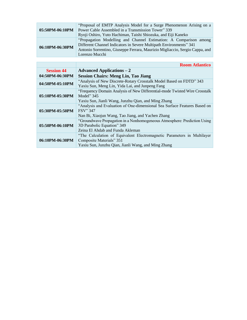| 05:50PM-06:10PM | "Proposal of EMTP Analysis Model for a Surge Phenomenon Arising on a         |
|-----------------|------------------------------------------------------------------------------|
|                 | Power Cable Assembled in a Transmission Tower" 339                           |
|                 | Ryoji Oshiro, Yuto Hachiman, Taishi Shiozuka, and Eiji Kaneko                |
| 06:10PM-06:30PM | "Propagation Modelling and Channel Estimation: A Comparison among            |
|                 | Different Channel Indicators in Severe Multipath Environments" 341           |
|                 | Antonio Sorrentino, Giuseppe Ferrara, Maurizio Migliaccio, Sergio Cappa, and |
|                 | Lorenzo Mucchi                                                               |

| <b>Room Atlantico</b>                                                      |
|----------------------------------------------------------------------------|
| Advanced Applications $-2$                                                 |
| <b>Session Chairs: Meng Lin, Tao Jiang</b>                                 |
| "Analysis of New Discrete-Rotary Crosstalk Model Based on FDTD" 343        |
| Yaxiu Sun, Meng Lin, Yida Lai, and Junpeng Fang                            |
| "Frequency Domain Analysis of New Differential-mode Twisted Wire Crosstalk |
| Model" 345                                                                 |
| Yaxiu Sun, Jianli Wang, Junzhu Qian, and Ming Zhang                        |
| "Analysis and Evaluation of One-dimensional Sea Surface Features Based on  |
| <b>FSV</b> " 347                                                           |
| Nan Bi, Xiaojun Wang, Tao Jiang, and Yachen Zhang                          |
| "Groundwave Propagation in a Nonhomogeneous Atmosphere: Prediction Using   |
| 3D Parabolic Equation" 349                                                 |
| Zeina El Ahdab and Funda Akleman                                           |
| "The Calculation of Equivalent Electromagnetic Parameters in Multilayer    |
| Composite Materials" 351                                                   |
| Yaxiu Sun, Junzhu Qian, Jianli Wang, and Ming Zhang                        |
|                                                                            |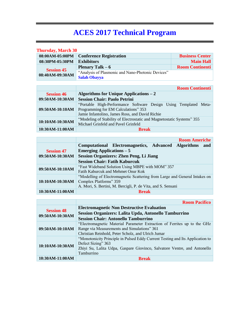| <b>Thursday, March 30</b>            |                                                                          |                        |
|--------------------------------------|--------------------------------------------------------------------------|------------------------|
| 08:00AM-05:00PM                      | <b>Conference Registration</b>                                           | <b>Business Center</b> |
| 08:30PM-05:30PM                      | <b>Exhibitors</b>                                                        | <b>Main Hall</b>       |
|                                      | <b>Plenary Talk – 6</b>                                                  | <b>Room Continenti</b> |
| <b>Session 45</b><br>08:40AM-09:30AM | "Analysis of Plasmonic and Nano-Photonic Devices"<br><b>Salah Obayya</b> |                        |
|                                      |                                                                          |                        |
|                                      | <b>Room Continenti</b>                                                   |                        |
| <b>Session 46</b>                    | Algorithms for Unique Applications $-2$                                  |                        |
| 09:50AM-10:30AM                      | <b>Session Chair: Paolo Petrini</b>                                      |                        |
|                                      | "Portable High-Performance Software Design Using Templated Meta-         |                        |
| 09:50AM-10:10AM                      | Programming for EM Calculations" 353                                     |                        |
|                                      | Jamie Infantolino, James Ross, and David Richie                          |                        |
| 10:10AM-10:30AM                      | "Modeling of Stability of Electrostatic and Magnetostatic Systems" 355   |                        |
|                                      | Michael Grinfeld and Pavel Grinfeld                                      |                        |
| 10:30AM-11:00AM                      | <b>Break</b>                                                             |                        |

|                   |                                                                            | <b>Room Americhe</b> |     |
|-------------------|----------------------------------------------------------------------------|----------------------|-----|
|                   | Computational Electromagnetics, Advanced Algorithms                        |                      | and |
| <b>Session 47</b> | <b>Emerging Applications – 5</b>                                           |                      |     |
| 09:50AM-10:30AM   | <b>Session Organizers: Zhen Peng, Li Jiang</b>                             |                      |     |
|                   | <b>Session Chair: Fatih Kaburcuk</b>                                       |                      |     |
| 09:50AM-10:10AM   | "Fast Wideband Solution Using MBPE with MOM" 357                           |                      |     |
|                   | Fatih Kaburcuk and Mehmet Onur Kok                                         |                      |     |
|                   | "Modelling of Electromagnetic Scattering from Large and General Intakes on |                      |     |
| 10:10AM-10:30AM   | Complex Platforms" 359                                                     |                      |     |
|                   | A. Mori, S. Bertini, M. Bercigli, P. de Vita, and S. Sensani               |                      |     |
| 10:30AM-11:00AM   | <b>Break</b>                                                               |                      |     |

|                                      | <b>Room Pacifico</b>                                                                                                                                                                          |
|--------------------------------------|-----------------------------------------------------------------------------------------------------------------------------------------------------------------------------------------------|
| <b>Session 48</b><br>09:50AM-10:30AM | <b>Electromagnetic Non Destructive Evaluation</b><br>Session Organizers: Lalita Upda, Antonello Tamburrino<br><b>Session Chair: Antonello Tamburrino</b>                                      |
| 09:50AM-10:10AM                      | "Electromagnetic Material Parameter Extraction of Ferrites up to the GHz<br>Range via Measurements and Simulations" 361<br>Christian Reinhold, Peter Scholz, and Ulrich Jumar                 |
| 10:10AM-10:30AM                      | "Monotonicity Principle in Pulsed Eddy Current Testing and Its Application to<br>Defect Sizing" 363<br>Zhiyi Su, Lalita Udpa, Gaspare Giovinco, Salvatore Ventre, and Antonello<br>Tamburrino |
| 10:30AM-11:00AM                      | <b>Break</b>                                                                                                                                                                                  |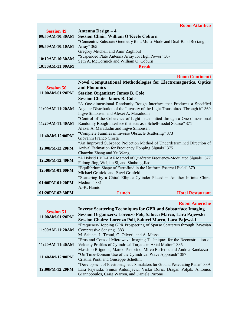|                   | <b>Room Atlantico</b>                                                     |
|-------------------|---------------------------------------------------------------------------|
| <b>Session 49</b> | Antenna Design – 4                                                        |
| 09:50AM-10:30AM   | <b>Session Chair: William O'Keefe Coburn</b>                              |
|                   | "Concentric Substrate Geometry for a Multi-Mode and Dual-Band Rectangular |
| 09:50AM-10:10AM   | Array" $365$                                                              |
|                   | Gregory Mitchell and Amir Zaghloul                                        |
| 10:10AM-10:30AM   | "Suspended Plate Antenna Array for High Power" 367                        |
|                   | Seth A. McCormick and William O. Coburn                                   |
| 10:30AM-11:00AM   | <b>Rreak</b>                                                              |

|                   |                                                                                | <b>Room Continenti</b>  |  |
|-------------------|--------------------------------------------------------------------------------|-------------------------|--|
|                   | <b>Novel Computational Methodologies for Electromagnetics, Optics</b>          |                         |  |
| <b>Session 50</b> | and Photonics                                                                  |                         |  |
| 11:00AM-01:20PM   | <b>Session Organizer: James B. Cole</b>                                        |                         |  |
|                   | <b>Session Chair: James B. Cole</b>                                            |                         |  |
|                   | "A One-dimensional Randomly Rough Interface that Produces a Specified          |                         |  |
| 11:00AM-11:20AM   | Angular Distribution of the Intensity of the Light Transmitted Through it" 369 |                         |  |
|                   | Ingve Simonsen and Alexei A. Maradudin                                         |                         |  |
|                   | "Control of the Coherence of Light Transmitted through a One-dimensional       |                         |  |
| 11:20AM-11:40AM   | Randomly Rough Interface that acts as a Schell-model Source" 371               |                         |  |
|                   | Alexei A. Maradudin and Ingve Simonsen                                         |                         |  |
| 11:40AM-12:00PM   | "Complete Families in Inverse Obstacle Scattering" 373                         |                         |  |
|                   | Giovanni Franco Crosta                                                         |                         |  |
|                   | "An Improved Subspace Projection Method of Underdetermined Direction of        |                         |  |
| 12:00PM-12:20PM   | Arrival Estimation for Frequency Hopping Signals" 375                          |                         |  |
|                   | Chaozhu Zhang and Yu Wang                                                      |                         |  |
|                   | "A Hybrid LVD-HAF Method of Quadratic Frequency-Modulated Signals" 377         |                         |  |
| 12:20PM-12:40PM   | Fulong Jing, Weijian Si, and Shuhong Jiao                                      |                         |  |
|                   | "Equilibrium Shape of Ferrofluid in the Uniform External Field" 379            |                         |  |
| 12:40PM-01:00PM   | Michael Grinfeld and Pavel Grinfeld                                            |                         |  |
|                   | "Scattering by a Chiral Elliptic Cylinder Placed in Another Infinite Chiral    |                         |  |
| 01:00PM-01:20PM   | Medium" 381                                                                    |                         |  |
|                   | A.-K. Hamid                                                                    |                         |  |
| 01:20PM-02:30PM   | Lunch                                                                          | <b>Hotel Restaurant</b> |  |

|                   | <b>Room Americhe</b>                                                         |
|-------------------|------------------------------------------------------------------------------|
| <b>Session 51</b> | <b>Inverse Scattering Techniques for GPR and Subsurface Imaging</b>          |
| 11:00AM-01:20PM   | Session Organizers: Lorenzo Poli, Salucci Marco, Lara Pajewski               |
|                   | Session Chairs: Lorenzo Poli, Salucci Marco, Lara Pajewski                   |
|                   | "Frequency-Hopping GPR Prospecting of Sparse Scatterers through Bayesian     |
| 11:00AM-11:20AM   | Compressive Sensing" 383                                                     |
|                   | M. Salucci, L. Tenuti, G. Oliveri, and A. Massa                              |
|                   | "Pros and Cons of Microwave Imaging Techniques for the Reconstruction of     |
| 11:20AM-11:40AM   | Velocity Profiles of Cylindrical Targets in Axial Motion" 385                |
|                   | Massimo Brignone, Matteo Pastorino, Mirco Raffetto, and Andrea Randazzo      |
| 11:40AM-12:00PM   | "On Time-Domain Use of the Cylindrical Wave Approach" 387                    |
|                   | Cristina Ponti and Giuseppe Schettini                                        |
|                   | "Development of Electromagnetic Simulators for Ground Penetrating Radar" 389 |
| 12:00PM-12:20PM   | Lara Pajewski, Sinisa Antonijevic, Vicko Doric, Dragan Poljak, Antonios      |
|                   | Giannopoulos, Craig Warren, and Daniele Pirrone                              |

 $\overline{\phantom{a}}$ 

 $\overline{\phantom{0}}$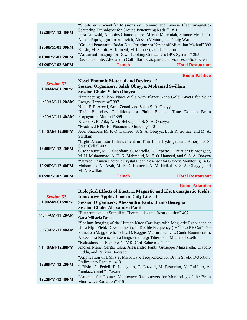| 12:20PM-12:40PM | "Short-Term Scientific Missions on Forward and Inverse Electromagnetic-<br>Scattering Techniques for Ground Penetrating Radar" 391<br>Lara Pajewski, Antonios Giannopoulos, Marian Marciniak, Simone Meschino,<br>Alexei Popov, Igor Prokopovich, Alessio Ventura, and Craig Warren |                         |
|-----------------|-------------------------------------------------------------------------------------------------------------------------------------------------------------------------------------------------------------------------------------------------------------------------------------|-------------------------|
| 12:40PM-01:00PM | "Ground Penetrating Radar Data Imaging via Kirchhoff Migration Method" 393<br>X. Liu, M. Serhir, A. Kameni, M. Lambert, and L. Pichon                                                                                                                                               |                         |
| 01:00PM-01:20PM | "Advanced Imaging for Down-Looking Contactless GPR Systems" 395<br>Davide Comite, Alessandro Galli, Ilaria Catapano, and Francesco Soldovieri                                                                                                                                       |                         |
| 01:20PM-02:30PM | Lunch.                                                                                                                                                                                                                                                                              | <b>Hotel Restaurant</b> |

|                   |                                                                               | <b>Room Pacifico</b>    |
|-------------------|-------------------------------------------------------------------------------|-------------------------|
| <b>Session 52</b> | Novel Photonic Material and Devices $-2$                                      |                         |
| 11:00AM-01:20PM   | <b>Session Organizers: Salah Obayya, Mohamed Swillam</b>                      |                         |
|                   | <b>Session Chair: Salah Obayya</b>                                            |                         |
|                   | "Intersecting Silicon Nano-Walls with Planar Nano-Gold Layers for Solar       |                         |
| 11:00AM-11:20AM   | Energy Harvesting" 397                                                        |                         |
|                   | Nihal F. F. Areed, Sami Zenad, and Salah S. A. Obayya                         |                         |
|                   | "Padé Boundary Conditions for Finite Element Time Domain Beam                 |                         |
| 11:20AM-11:40AM   | Propagation Method" 399                                                       |                         |
|                   | Khaled S. R. Atia, A. M. Heikal, and S. S. A. Obayya                          |                         |
|                   | "Modified BPM for Plasmonic Modeling" 401                                     |                         |
| 11:40AM-12:00PM   | Adel Shaaban, M. F. O. Hameed, S. S. A. Obayya, Lotfi R. Gomaa, and M. A.     |                         |
|                   | Swillam                                                                       |                         |
|                   | "Light Absorption Enhancement in Thin Film Hydrogenated Amorphus Si           |                         |
|                   | Solar Cells" 403                                                              |                         |
| 12:00PM-12:20PM   | C. Mennucci, M. C. Giordano, C. Martella, D. Repetto, F. Buatier De Mongeot,  |                         |
|                   | M. H. Muhammad, A. H. K. Mahmoud, M. F. O. Hameed, and S. S. A. Obayya        |                         |
|                   | "Surface Plasmon Photonic Crystal Fiber Biosensor for Glucose Monitoring" 405 |                         |
| 12:20PM-12:40PM   | Mohammad Y. Azab, M. F. O. Hameed, A. M. Heikal, S. S. A. Obayya, and         |                         |
|                   | M. A. Swillam                                                                 |                         |
| 01:20PM-02:30PM   | Lunch                                                                         | <b>Hotel Restaurant</b> |

|                   | <b>Room Atlantico</b>                                                                    |
|-------------------|------------------------------------------------------------------------------------------|
|                   | <b>Biological Effects of Electric, Magnetic and Electromagnetic Fields:</b>              |
| <b>Session 53</b> | <b>Innovative Applications in Daily Life - 1</b>                                         |
| 11:00AM-01:20PM   | Session Organizers: Alessandro Fanti, Bruno Bisceglia                                    |
|                   | <b>Session Chair: Alessandro Fanti</b>                                                   |
| 11:00AM-11:20AM   | "Electromagnetic Stimuli in Therapeutics and Resuscitation" 407                          |
|                   | Oana Mihaela Drosu                                                                       |
| 11:20AM-11:40AM   | "Sodium Imaging of the Human Knee Cartilage with Magnetic Resonance at                   |
|                   | Ultra High Field: Development of a Double Frequency ( ${}^{1}H/{}^{23}Na$ ) RF Coil" 409 |
|                   | Francesca Maggiorelli, Joshua D. Kaggie, Martin J. Graves, Guido Buonincontri,           |
|                   | Alessandra Retico, Laura Biagi, Gianluigi Tiberi, and Michela Tosetti                    |
|                   | "Robustness of Flexible 7T-MRI Coil Behaviour" 411                                       |
| 11:40AM-12:00PM   | Andrea Melis, Sergio Casu, Alessandro Fanti, Giuseppe Mazzarella, Claudio                |
|                   | Puddu, and Patrizia Boccacci                                                             |
|                   | "Application of EMFs at Microwave Frequencies for Brain Stroke Detection:                |
| 12:00PM-12:20PM   | Preliminary Results" 413                                                                 |
|                   | I. Bisio, A. Fedeli, F. Lavagetto, G. Luzzati, M. Pastorino, M. Raffetto, A.             |
|                   | Randazzo, and E. Tavanti                                                                 |
| 12:20PM-12:40PM   | "Antenna for Contact Microwave Radiometers for Monitoring of the Brain                   |
|                   | Microwave Radiation" 415                                                                 |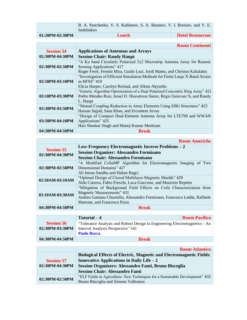| B. A. Panchenko, V. S. Kublanov, S. A. Baranov, V. I. Borisov, and Y. E. |
|--------------------------------------------------------------------------|
| Sedelnikov                                                               |

| 01:20PM-02:30PM<br><b>Hotel Restaurant</b><br>Lunch |
|-----------------------------------------------------|
|-----------------------------------------------------|

|                     | <b>Room Continenti</b>                                                                                                                                                   |
|---------------------|--------------------------------------------------------------------------------------------------------------------------------------------------------------------------|
| <b>Session 54</b>   | <b>Applications of Antennas and Arrays</b>                                                                                                                               |
| 02:30PM-04:30PM     | <b>Session Chair: Randy Haupt</b>                                                                                                                                        |
| 02:30PM-02:50PM     | "A Ku band Circularly Polarized 2x2 Microstrip Antenna Array for Remote<br>Sensing Applications" 417                                                                     |
|                     | Roger Ferré, Fermín Mira, Guido Luzi, Jordi Mateu, and Christos Kalialakis                                                                                               |
| $02:50PM - 03:10PM$ | "Investigation of Efficient Simulation Methods for Finite Large X-Band Arrays<br>in HFSS" $419$                                                                          |
|                     | Elicia Harper, Carolyn Reistad, and Alkim Akyurtlu                                                                                                                       |
| 03:10PM-03:30PM     | "Genetic Algorithm Optimization of a Dual Polarized Concentric Ring Array" 421<br>Pedro Mendes Ruiz, Israel D. Hinostroza Sáenz, Régis Guinvarc'h, and Randy<br>L. Haupt |
| 03:30PM-03:50PM     | "Mutual Coupling Reduction in Array Elements Using EBG Structures" 423<br>Hassan Sajjad, Sana Khan, and Ercument Arvas                                                   |
| 03:50PM-04:10PM     | "Design of Compact Dual-Element Antenna Array for LTE700 and WWAN<br>Applications" 425<br>Hari Shankar Singh and Manoj Kumar Meshram                                     |
| 04:30PM-04:50PM     | <b>Break</b>                                                                                                                                                             |

|                                      | <b>Room Americhe</b>                                                       |
|--------------------------------------|----------------------------------------------------------------------------|
| <b>Session 55</b><br>02:30PM-04:30PM | Low-Frequency Electromagnetic Inverse Problems $-2$                        |
|                                      | <b>Session Organizer: Alessandro Formisano</b>                             |
|                                      | <b>Session Chair: Alessandro Formisano</b>                                 |
| 02:30PM-02:50PM                      | "A Modified CoSaMP Algorithm for Electromagnetic Imaging of Two            |
|                                      | Dimensional Domains" 427                                                   |
|                                      | Ali Imran Sandhu and Hakan Bagci                                           |
| 02:50AM-03:10AM                      | "Optimal Design of Closed Multilayer Magnetic Shields" 429                 |
|                                      | Aldo Canova, Fabio Freschi, Luca Giaccone, and Maurizio Repetto            |
| 03:10AM-03:30AM                      | "Mitigation of Background Field Effects on Coils Characterization from     |
|                                      | Magnetic Measurements" 431                                                 |
|                                      | Andrea Gaetano Chiariello, Alessandro Formisano, Francesco Ledda, Raffaele |
|                                      | Martone, and Francesco Pizzo                                               |
| 04:30PM-04:50PM                      | <b>Break</b>                                                               |

|                   | Tutorial – 4                                                               | <b>Room Pacifico</b> |
|-------------------|----------------------------------------------------------------------------|----------------------|
| <b>Session 56</b> | "Tolerance Analysis and Robust Design in Engineering Electromagnetics - An |                      |
| 02:30PM-03:30PM   | Interval Analysis Perspective" 541                                         |                      |
|                   | <b>Paolo Rocca</b>                                                         |                      |
| 04:30PM-04:50PM   | <b>Break</b>                                                               |                      |

|                   | <b>Room Atlantico</b>                                                         |  |  |
|-------------------|-------------------------------------------------------------------------------|--|--|
|                   | <b>Biological Effects of Electric, Magnetic and Electromagnetic Fields:</b>   |  |  |
| <b>Session 57</b> | Innovative Applications in Daily Life $-2$                                    |  |  |
| 02:30PM-04:30PM   | Session Organizers: Alessandro Fanti, Bruno Bisceglia                         |  |  |
|                   | <b>Session Chair: Alessandro Fanti</b>                                        |  |  |
| 02:30PM-02:50PM   | "ELF Fields in Agriculture: New Techniques for a Sustainable Development" 433 |  |  |
|                   | Bruno Bisceglia and Simona Valbonesi                                          |  |  |